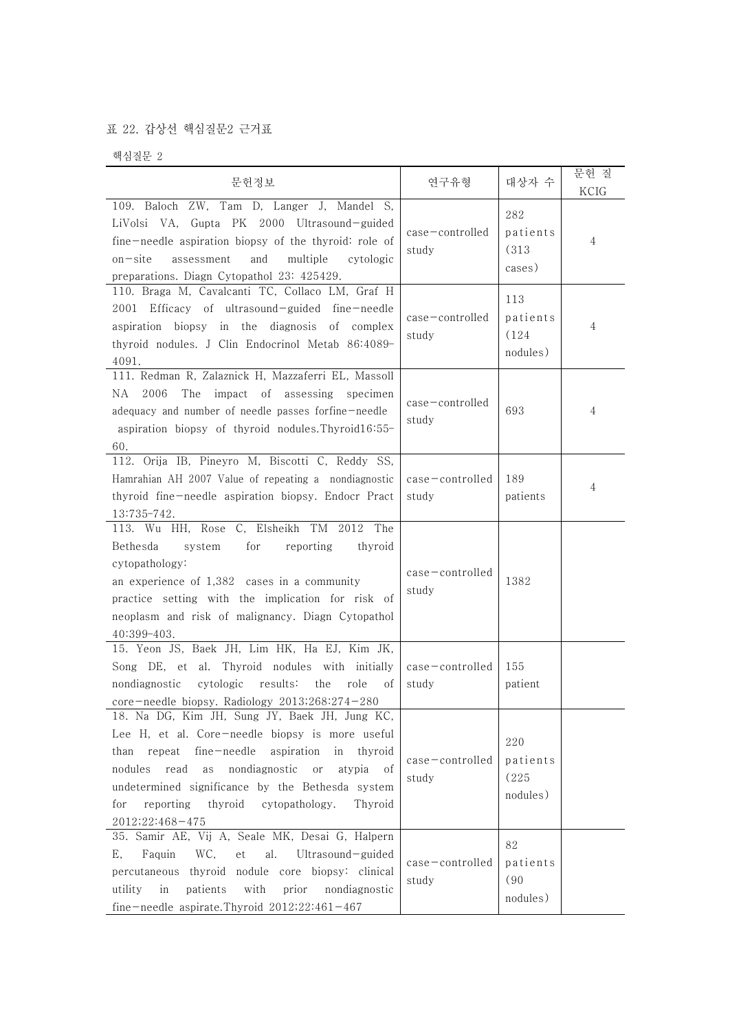## 표 22. 갑상선 핵심질문2 근거표

핵심질문 2

| 문헌정보                                                                                                                                                                                                                                                                                                                                           | 연구유형                        | 대상자 수                                | 문헌 질<br>KCIG |  |
|------------------------------------------------------------------------------------------------------------------------------------------------------------------------------------------------------------------------------------------------------------------------------------------------------------------------------------------------|-----------------------------|--------------------------------------|--------------|--|
| 109. Baloch ZW, Tam D, Langer J, Mandel S,<br>LiVolsi VA, Gupta PK 2000 Ultrasound-guided<br>fine-needle aspiration biopsy of the thyroid: role of<br>$on - site$<br>assessment<br>and<br>multiple<br>cytologic<br>preparations. Diagn Cytopathol 23: 425429.                                                                                  | $case$ -controlled<br>study | 282<br>patients<br>(313)<br>cases)   | 4            |  |
| 110. Braga M, Cavalcanti TC, Collaco LM, Graf H<br>2001 Efficacy of ultrasound-guided fine-needle<br>aspiration biopsy in the diagnosis of complex<br>thyroid nodules. J Clin Endocrinol Metab 86:4089-<br>4091.                                                                                                                               | $case$ -controlled<br>study | 113<br>patients<br>(124)<br>nodules) | 4            |  |
| 111. Redman R, Zalaznick H, Mazzaferri EL, Massoll<br>2006<br>The impact of assessing specimen<br>NA<br>adequacy and number of needle passes forfine-needle<br>aspiration biopsy of thyroid nodules. Thyroid16:55-<br>60.                                                                                                                      | case-controlled<br>study    | 693                                  | 4            |  |
| 112. Orija IB, Pineyro M, Biscotti C, Reddy SS,<br>Hamrahian AH 2007 Value of repeating a nondiagnostic<br>thyroid fine-needle aspiration biopsy. Endocr Pract<br>13:735-742.                                                                                                                                                                  | case-controlled<br>study    | 189<br>patients                      | 4            |  |
| 113. Wu HH, Rose C, Elsheikh TM 2012 The<br>reporting<br>Bethesda<br>system<br>for<br>thyroid<br>cytopathology:<br>an experience of 1,382 cases in a community<br>practice setting with the implication for risk of<br>neoplasm and risk of malignancy. Diagn Cytopathol<br>40:399-403.                                                        | case-controlled<br>study    | 1382                                 |              |  |
| 15. Yeon JS, Baek JH, Lim HK, Ha EJ, Kim JK,<br>Song DE, et al. Thyroid nodules with initially<br>results:<br>nondiagnostic<br>cytologic<br>the<br>role<br>οf<br>core-needle biopsy. Radiology 2013;268:274-280                                                                                                                                | case-controlled<br>study    | 155<br>patient                       |              |  |
| 18. Na DG, Kim JH, Sung JY, Baek JH, Jung KC,<br>Lee H, et al. Core-needle biopsy is more useful<br>than repeat fine-needle aspiration<br>in<br>thyroid<br>nondiagnostic or<br>nodules read<br>as<br>atypia<br>οf<br>undetermined significance by the Bethesda system<br>reporting thyroid cytopathology.<br>Thyroid<br>for<br>2012;22:468-475 | case-controlled<br>study    | 220<br>patients<br>(225)<br>nodules) |              |  |
| 35. Samir AE, Vij A, Seale MK, Desai G, Halpern<br>Faquin<br>WC,<br>et<br>al.<br>Ultrasound-guided<br>Ε,<br>percutaneous thyroid nodule core biopsy: clinical<br>patients<br>with<br>prior<br>nondiagnostic<br>utility<br>in<br>fine-needle aspirate.Thyroid 2012;22:461-467                                                                   | case-controlled<br>study    | 82<br>patients<br>(90)<br>nodules)   |              |  |